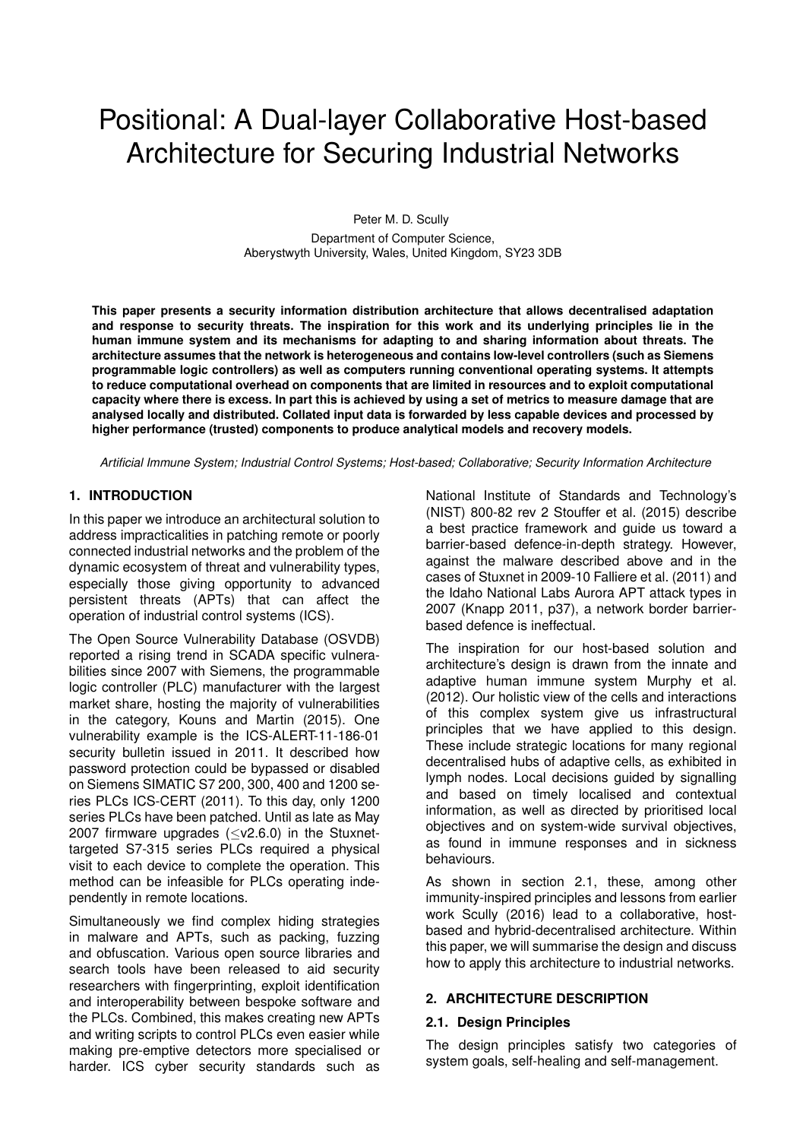# Positional: A Dual-layer Collaborative Host-based Architecture for Securing Industrial Networks

Peter M. D. Scully Department of Computer Science, Aberystwyth University, Wales, United Kingdom, SY23 3DB

**This paper presents a security information distribution architecture that allows decentralised adaptation and response to security threats. The inspiration for this work and its underlying principles lie in the human immune system and its mechanisms for adapting to and sharing information about threats. The architecture assumes that the network is heterogeneous and contains low-level controllers (such as Siemens programmable logic controllers) as well as computers running conventional operating systems. It attempts to reduce computational overhead on components that are limited in resources and to exploit computational capacity where there is excess. In part this is achieved by using a set of metrics to measure damage that are analysed locally and distributed. Collated input data is forwarded by less capable devices and processed by higher performance (trusted) components to produce analytical models and recovery models.**

*Artificial Immune System; Industrial Control Systems; Host-based; Collaborative; Security Information Architecture*

#### **1. INTRODUCTION**

In this paper we introduce an architectural solution to address impracticalities in patching remote or poorly connected industrial networks and the problem of the dynamic ecosystem of threat and vulnerability types, especially those giving opportunity to advanced persistent threats (APTs) that can affect the operation of industrial control systems (ICS).

The Open Source Vulnerability Database (OSVDB) reported a rising trend in SCADA specific vulnerabilities since 2007 with Siemens, the programmable logic controller (PLC) manufacturer with the largest market share, hosting the majority of vulnerabilities in the category, Kouns and Martin (2015). One vulnerability example is the ICS-ALERT-11-186-01 security bulletin issued in 2011. It described how password protection could be bypassed or disabled on Siemens SIMATIC S7 200, 300, 400 and 1200 series PLCs ICS-CERT (2011). To this day, only 1200 series PLCs have been patched. Until as late as May 2007 firmware upgrades  $(\leq v2.6.0)$  in the Stuxnettargeted S7-315 series PLCs required a physical visit to each device to complete the operation. This method can be infeasible for PLCs operating independently in remote locations.

Simultaneously we find complex hiding strategies in malware and APTs, such as packing, fuzzing and obfuscation. Various open source libraries and search tools have been released to aid security researchers with fingerprinting, exploit identification and interoperability between bespoke software and the PLCs. Combined, this makes creating new APTs and writing scripts to control PLCs even easier while making pre-emptive detectors more specialised or harder. ICS cyber security standards such as National Institute of Standards and Technology's (NIST) 800-82 rev 2 Stouffer et al. (2015) describe a best practice framework and guide us toward a barrier-based defence-in-depth strategy. However, against the malware described above and in the cases of Stuxnet in 2009-10 Falliere et al. (2011) and the Idaho National Labs Aurora APT attack types in 2007 (Knapp 2011, p37), a network border barrierbased defence is ineffectual.

The inspiration for our host-based solution and architecture's design is drawn from the innate and adaptive human immune system Murphy et al. (2012). Our holistic view of the cells and interactions of this complex system give us infrastructural principles that we have applied to this design. These include strategic locations for many regional decentralised hubs of adaptive cells, as exhibited in lymph nodes. Local decisions guided by signalling and based on timely localised and contextual information, as well as directed by prioritised local objectives and on system-wide survival objectives, as found in immune responses and in sickness behaviours.

As shown in section 2.1, these, among other immunity-inspired principles and lessons from earlier work Scully (2016) lead to a collaborative, hostbased and hybrid-decentralised architecture. Within this paper, we will summarise the design and discuss how to apply this architecture to industrial networks.

#### **2. ARCHITECTURE DESCRIPTION**

#### **2.1. Design Principles**

The design principles satisfy two categories of system goals, self-healing and self-management.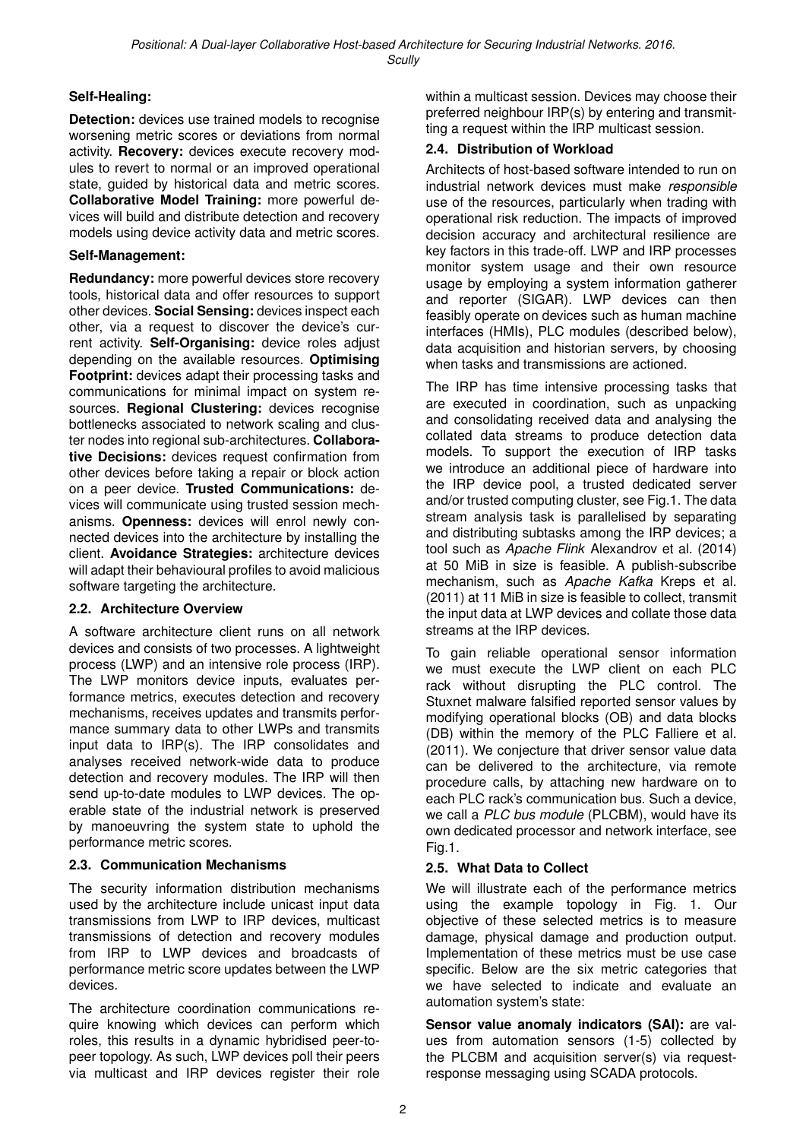# **Self-Healing:**

**Detection:** devices use trained models to recognise worsening metric scores or deviations from normal activity. **Recovery:** devices execute recovery modules to revert to normal or an improved operational state, guided by historical data and metric scores. **Collaborative Model Training:** more powerful devices will build and distribute detection and recovery models using device activity data and metric scores.

#### **Self-Management:**

**Redundancy:** more powerful devices store recovery tools, historical data and offer resources to support other devices. **Social Sensing:** devices inspect each other, via a request to discover the device's current activity. **Self-Organising:** device roles adjust depending on the available resources. **Optimising Footprint:** devices adapt their processing tasks and communications for minimal impact on system resources. **Regional Clustering:** devices recognise bottlenecks associated to network scaling and cluster nodes into regional sub-architectures. **Collaborative Decisions:** devices request confirmation from other devices before taking a repair or block action on a peer device. **Trusted Communications:** devices will communicate using trusted session mechanisms. **Openness:** devices will enrol newly connected devices into the architecture by installing the client. **Avoidance Strategies:** architecture devices will adapt their behavioural profiles to avoid malicious software targeting the architecture.

#### **2.2. Architecture Overview**

A software architecture client runs on all network devices and consists of two processes. A lightweight process (LWP) and an intensive role process (IRP). The LWP monitors device inputs, evaluates performance metrics, executes detection and recovery mechanisms, receives updates and transmits performance summary data to other LWPs and transmits input data to IRP(s). The IRP consolidates and analyses received network-wide data to produce detection and recovery modules. The IRP will then send up-to-date modules to LWP devices. The operable state of the industrial network is preserved by manoeuvring the system state to uphold the performance metric scores.

#### **2.3. Communication Mechanisms**

The security information distribution mechanisms used by the architecture include unicast input data transmissions from LWP to IRP devices, multicast transmissions of detection and recovery modules from IRP to LWP devices and broadcasts of performance metric score updates between the LWP devices.

The architecture coordination communications require knowing which devices can perform which roles, this results in a dynamic hybridised peer-topeer topology. As such, LWP devices poll their peers via multicast and IRP devices register their role within a multicast session. Devices may choose their preferred neighbour IRP(s) by entering and transmitting a request within the IRP multicast session.

#### **2.4. Distribution of Workload**

Architects of host-based software intended to run on industrial network devices must make *responsible* use of the resources, particularly when trading with operational risk reduction. The impacts of improved decision accuracy and architectural resilience are key factors in this trade-off. LWP and IRP processes monitor system usage and their own resource usage by employing a system information gatherer and reporter (SIGAR). LWP devices can then feasibly operate on devices such as human machine interfaces (HMIs), PLC modules (described below), data acquisition and historian servers, by choosing when tasks and transmissions are actioned.

The IRP has time intensive processing tasks that are executed in coordination, such as unpacking and consolidating received data and analysing the collated data streams to produce detection data models. To support the execution of IRP tasks we introduce an additional piece of hardware into the IRP device pool, a trusted dedicated server and/or trusted computing cluster, see Fig.1. The data stream analysis task is parallelised by separating and distributing subtasks among the IRP devices; a tool such as *Apache Flink* Alexandrov et al. (2014) at 50 MiB in size is feasible. A publish-subscribe mechanism, such as *Apache Kafka* Kreps et al. (2011) at 11 MiB in size is feasible to collect, transmit the input data at LWP devices and collate those data streams at the IRP devices.

To gain reliable operational sensor information we must execute the LWP client on each PLC rack without disrupting the PLC control. The Stuxnet malware falsified reported sensor values by modifying operational blocks (OB) and data blocks (DB) within the memory of the PLC Falliere et al. (2011). We conjecture that driver sensor value data can be delivered to the architecture, via remote procedure calls, by attaching new hardware on to each PLC rack's communication bus. Such a device, we call a *PLC bus module* (PLCBM), would have its own dedicated processor and network interface, see Fig.1.

#### **2.5. What Data to Collect**

We will illustrate each of the performance metrics using the example topology in Fig. 1. Our objective of these selected metrics is to measure damage, physical damage and production output. Implementation of these metrics must be use case specific. Below are the six metric categories that we have selected to indicate and evaluate an automation system's state:

**Sensor value anomaly indicators (SAI):** are values from automation sensors (1-5) collected by the PLCBM and acquisition server(s) via requestresponse messaging using SCADA protocols.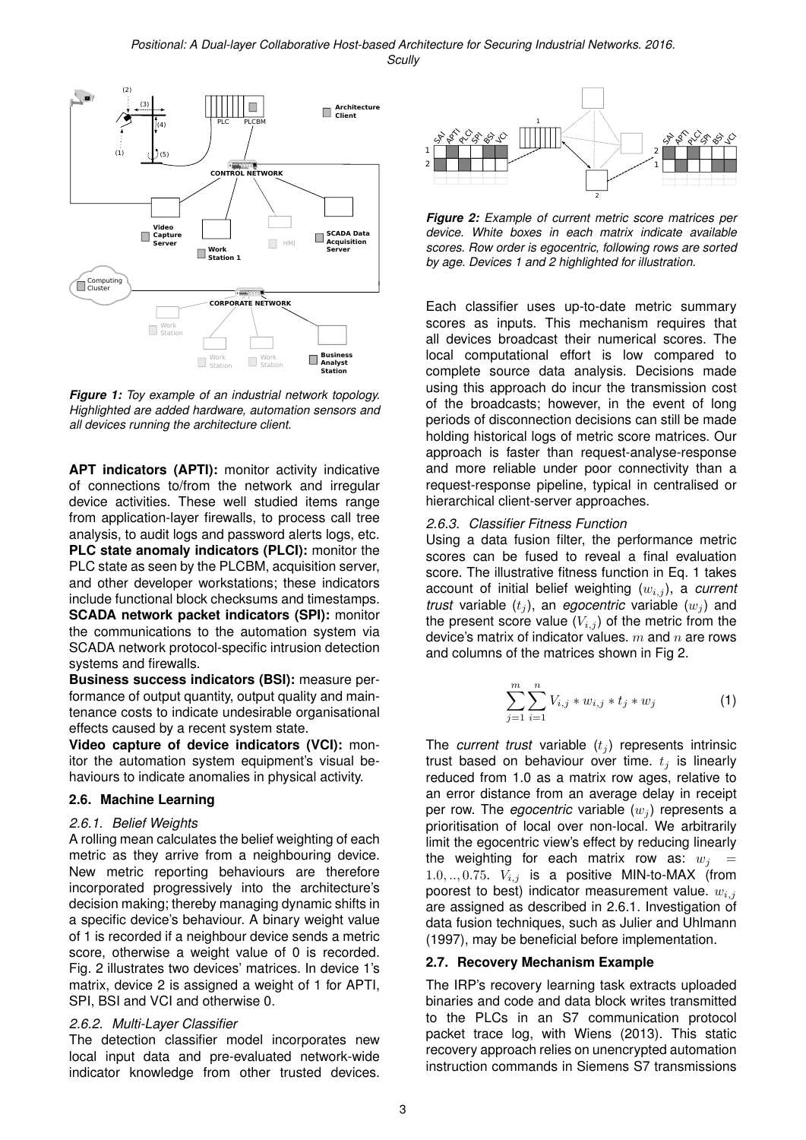

*Figure 1: Toy example of an industrial network topology. Highlighted are added hardware, automation sensors and all devices running the architecture client.*

**APT indicators (APTI):** monitor activity indicative of connections to/from the network and irregular device activities. These well studied items range from application-layer firewalls, to process call tree analysis, to audit logs and password alerts logs, etc. **PLC state anomaly indicators (PLCI):** monitor the PLC state as seen by the PLCBM, acquisition server, and other developer workstations; these indicators include functional block checksums and timestamps. **SCADA network packet indicators (SPI):** monitor the communications to the automation system via SCADA network protocol-specific intrusion detection systems and firewalls.

**Business success indicators (BSI):** measure performance of output quantity, output quality and maintenance costs to indicate undesirable organisational effects caused by a recent system state.

**Video capture of device indicators (VCI):** monitor the automation system equipment's visual behaviours to indicate anomalies in physical activity.

#### **2.6. Machine Learning**

#### *2.6.1. Belief Weights*

A rolling mean calculates the belief weighting of each metric as they arrive from a neighbouring device. New metric reporting behaviours are therefore incorporated progressively into the architecture's decision making; thereby managing dynamic shifts in a specific device's behaviour. A binary weight value of 1 is recorded if a neighbour device sends a metric score, otherwise a weight value of 0 is recorded. Fig. 2 illustrates two devices' matrices. In device 1's matrix, device 2 is assigned a weight of 1 for APTI, SPI, BSI and VCI and otherwise 0.

# *2.6.2. Multi-Layer Classifier*

The detection classifier model incorporates new local input data and pre-evaluated network-wide indicator knowledge from other trusted devices.



*Figure 2: Example of current metric score matrices per device. White boxes in each matrix indicate available scores. Row order is egocentric, following rows are sorted by age. Devices 1 and 2 highlighted for illustration.*

Each classifier uses up-to-date metric summary scores as inputs. This mechanism requires that all devices broadcast their numerical scores. The local computational effort is low compared to complete source data analysis. Decisions made using this approach do incur the transmission cost of the broadcasts; however, in the event of long periods of disconnection decisions can still be made holding historical logs of metric score matrices. Our approach is faster than request-analyse-response and more reliable under poor connectivity than a request-response pipeline, typical in centralised or hierarchical client-server approaches.

### *2.6.3. Classifier Fitness Function*

Using a data fusion filter, the performance metric scores can be fused to reveal a final evaluation score. The illustrative fitness function in Eq. 1 takes account of initial belief weighting ( $w_{i,j}$ ), a *current trust* variable  $(t<sub>j</sub>)$ , an *egocentric* variable  $(w<sub>j</sub>)$  and the present score value  $(V_{i,j})$  of the metric from the device's matrix of indicator values.  $m$  and  $n$  are rows and columns of the matrices shown in Fig 2.

$$
\sum_{j=1}^{m} \sum_{i=1}^{n} V_{i,j} * w_{i,j} * t_j * w_j \tag{1}
$$

The *current trust* variable  $(t_j)$  represents intrinsic trust based on behaviour over time.  $t_j$  is linearly reduced from 1.0 as a matrix row ages, relative to an error distance from an average delay in receipt per row. The *egocentric* variable  $(w_i)$  represents a prioritisation of local over non-local. We arbitrarily limit the egocentric view's effect by reducing linearly the weighting for each matrix row as:  $w_i$  = 1.0, .., 0.75.  $V_{i,j}$  is a positive MIN-to-MAX (from poorest to best) indicator measurement value.  $w_{i,j}$ are assigned as described in 2.6.1. Investigation of data fusion techniques, such as Julier and Uhlmann (1997), may be beneficial before implementation.

# **2.7. Recovery Mechanism Example**

The IRP's recovery learning task extracts uploaded binaries and code and data block writes transmitted to the PLCs in an S7 communication protocol packet trace log, with Wiens (2013). This static recovery approach relies on unencrypted automation instruction commands in Siemens S7 transmissions